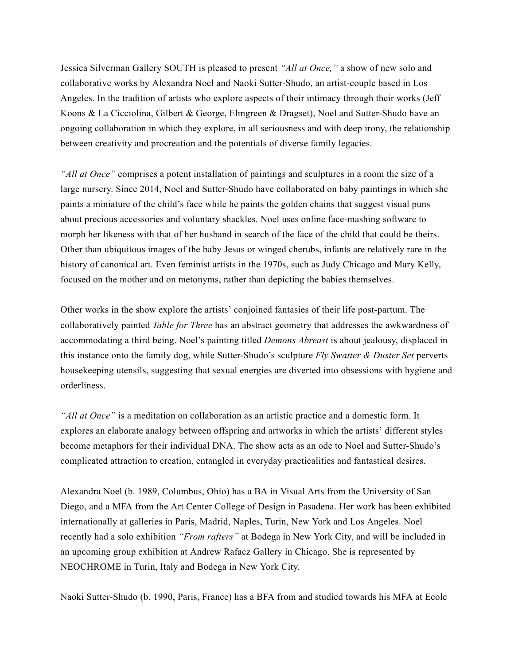Jessica Silverman Gallery SOUTH is pleased to present *"All at Once,"* a show of new solo and collaborative works by Alexandra Noel and Naoki Sutter-Shudo, an artist-couple based in Los Angeles. In the tradition of artists who explore aspects of their intimacy through their works (Jeff Koons & La Cicciolina, Gilbert & George, Elmgreen & Dragset), Noel and Sutter-Shudo have an ongoing collaboration in which they explore, in all seriousness and with deep irony, the relationship between creativity and procreation and the potentials of diverse family legacies.

*"All at Once"* comprises a potent installation of paintings and sculptures in a room the size of a large nursery. Since 2014, Noel and Sutter-Shudo have collaborated on baby paintings in which she paints a miniature of the child's face while he paints the golden chains that suggest visual puns about precious accessories and voluntary shackles. Noel uses online face-mashing software to morph her likeness with that of her husband in search of the face of the child that could be theirs. Other than ubiquitous images of the baby Jesus or winged cherubs, infants are relatively rare in the history of canonical art. Even feminist artists in the 1970s, such as Judy Chicago and Mary Kelly, focused on the mother and on metonyms, rather than depicting the babies themselves.

Other works in the show explore the artists' conjoined fantasies of their life post-partum. The collaboratively painted *Table for Three* has an abstract geometry that addresses the awkwardness of accommodating a third being. Noel's painting titled *Demons Abreast* is about jealousy, displaced in this instance onto the family dog, while Sutter-Shudo's sculpture *Fly Swatter & Duster Set* perverts housekeeping utensils, suggesting that sexual energies are diverted into obsessions with hygiene and orderliness.

*"All at Once"* is a meditation on collaboration as an artistic practice and a domestic form. It explores an elaborate analogy between offspring and artworks in which the artists' different styles become metaphors for their individual DNA. The show acts as an ode to Noel and Sutter-Shudo's complicated attraction to creation, entangled in everyday practicalities and fantastical desires.

Alexandra Noel (b. 1989, Columbus, Ohio) has a BA in Visual Arts from the University of San Diego, and a MFA from the Art Center College of Design in Pasadena. Her work has been exhibited internationally at galleries in Paris, Madrid, Naples, Turin, New York and Los Angeles. Noel recently had a solo exhibition *"From rafters"* at Bodega in New York City, and will be included in an upcoming group exhibition at Andrew Rafacz Gallery in Chicago. She is represented by NEOCHROME in Turin, Italy and Bodega in New York City.

Naoki Sutter-Shudo (b. 1990, Paris, France) has a BFA from and studied towards his MFA at Ecole